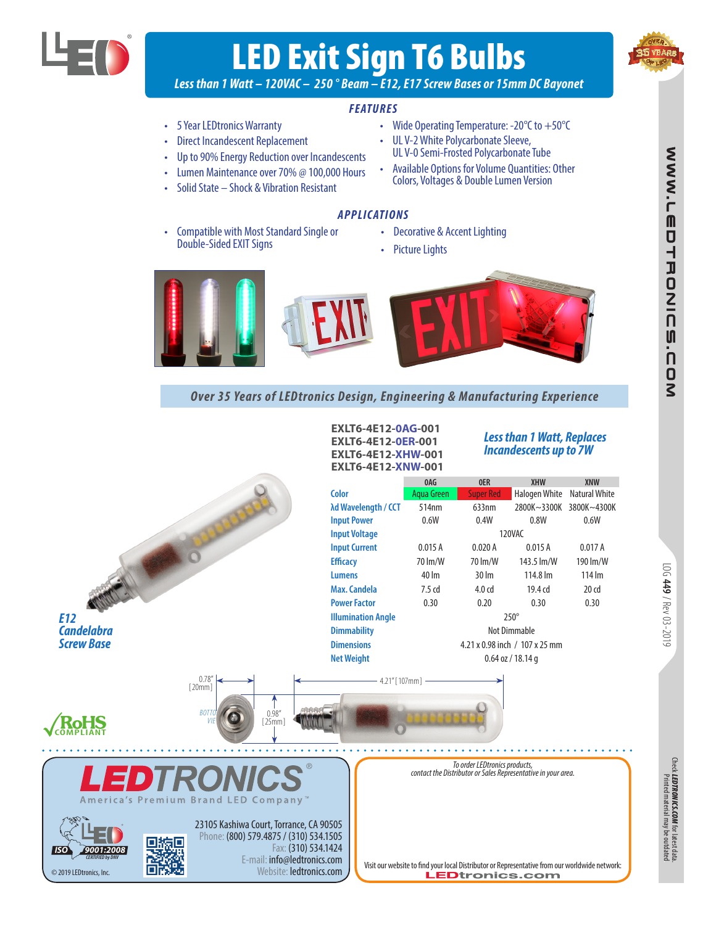

# LED Exit Sign T6 Bulbs



*Less than 1 Watt – 120VAC – 250 ° Beam – E12, E17 Screw Bases or 15mm DC Bayonet*

### *FEATURES*

- 5 Year LEDtronics Warranty
- Direct Incandescent Replacement
- Up to 90% Energy Reduction over Incandescents
- Lumen Maintenance over 70% @ 100,000 Hours
- Solid State Shock & Vibration Resistant
	- *APPLICATIONS*
- Compatible with Most Standard Single or **•** Decorative & Accent Lighting<br>Double-Sided EXIT Signs **• performance of the Standard Contract Contract in Accent**
- 

• Wide Operating Temperature:  $-20^{\circ}$ C to  $+50^{\circ}$ C

• UL V-2 White Polycarbonate Sleeve, UL V-0 Semi-Frosted Polycarbonate Tube • Available Options for Volume Quantities: Other Colors, Voltages & Double Lumen Version

Picture Lights



### *Over 35 Years of LEDtronics Design, Engineering & Manufacturing Experience*



*LEDTRONICS.COM*

for latest data.